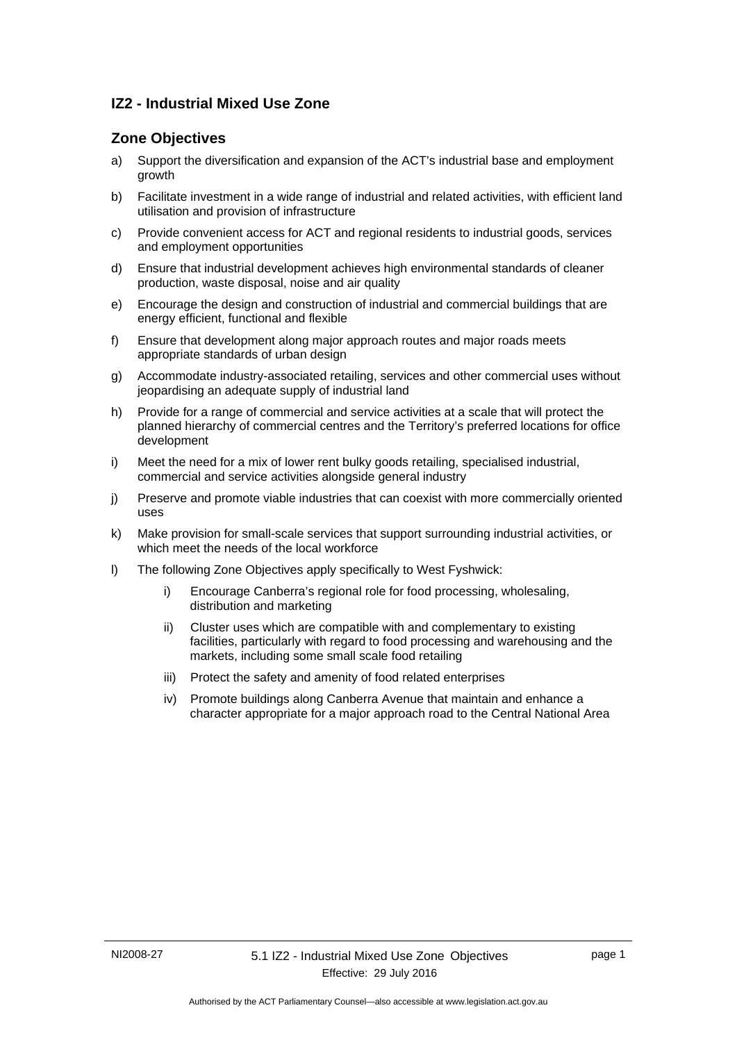# **IZ2 - Industrial Mixed Use Zone**

# **Zone Objectives**

- a) Support the diversification and expansion of the ACT's industrial base and employment growth
- b) Facilitate investment in a wide range of industrial and related activities, with efficient land utilisation and provision of infrastructure
- c) Provide convenient access for ACT and regional residents to industrial goods, services and employment opportunities
- d) Ensure that industrial development achieves high environmental standards of cleaner production, waste disposal, noise and air quality
- e) Encourage the design and construction of industrial and commercial buildings that are energy efficient, functional and flexible
- f) Ensure that development along major approach routes and major roads meets appropriate standards of urban design
- g) Accommodate industry-associated retailing, services and other commercial uses without jeopardising an adequate supply of industrial land
- h) Provide for a range of commercial and service activities at a scale that will protect the planned hierarchy of commercial centres and the Territory's preferred locations for office development
- i) Meet the need for a mix of lower rent bulky goods retailing, specialised industrial, commercial and service activities alongside general industry
- j) Preserve and promote viable industries that can coexist with more commercially oriented uses
- k) Make provision for small-scale services that support surrounding industrial activities, or which meet the needs of the local workforce
- l) The following Zone Objectives apply specifically to West Fyshwick:
	- i) Encourage Canberra's regional role for food processing, wholesaling, distribution and marketing
	- ii) Cluster uses which are compatible with and complementary to existing facilities, particularly with regard to food processing and warehousing and the markets, including some small scale food retailing
	- iii) Protect the safety and amenity of food related enterprises
	- iv) Promote buildings along Canberra Avenue that maintain and enhance a character appropriate for a major approach road to the Central National Area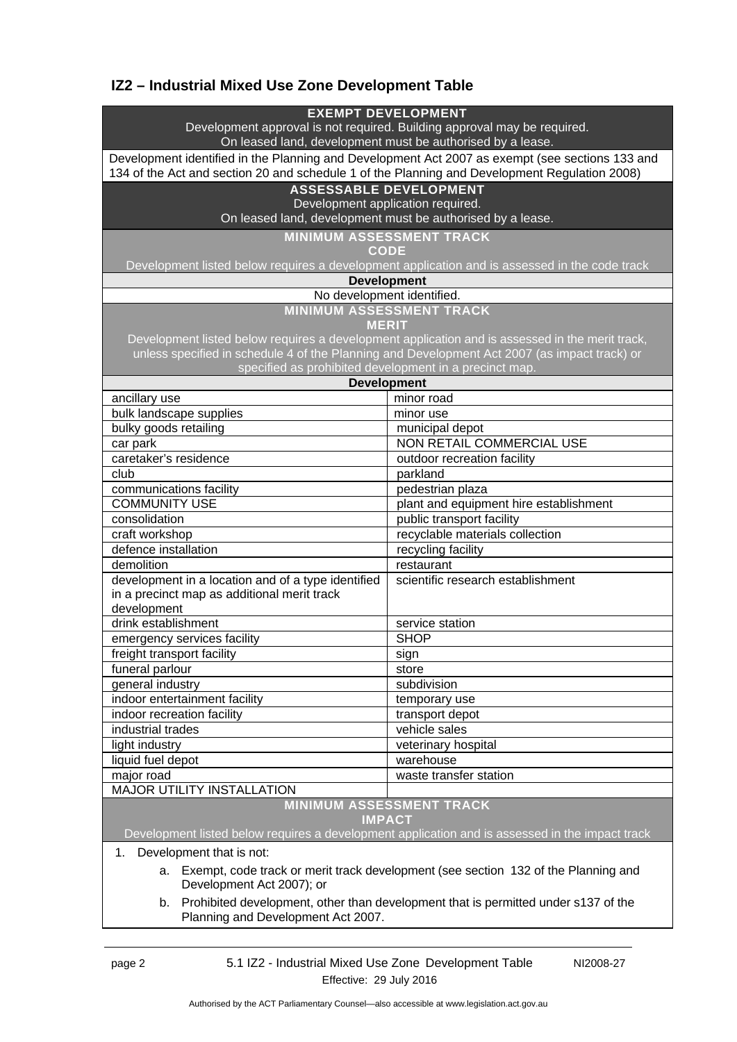# **IZ2 – Industrial Mixed Use Zone Development Table**

| <b>EXEMPT DEVELOPMENT</b><br>Development approval is not required. Building approval may be required.<br>On leased land, development must be authorised by a lease.                              |                                        |
|--------------------------------------------------------------------------------------------------------------------------------------------------------------------------------------------------|----------------------------------------|
|                                                                                                                                                                                                  |                                        |
| Development identified in the Planning and Development Act 2007 as exempt (see sections 133 and<br>134 of the Act and section 20 and schedule 1 of the Planning and Development Regulation 2008) |                                        |
| <b>ASSESSABLE DEVELOPMENT</b>                                                                                                                                                                    |                                        |
| Development application required.                                                                                                                                                                |                                        |
| On leased land, development must be authorised by a lease.                                                                                                                                       |                                        |
| <b>MINIMUM ASSESSMENT TRACK</b>                                                                                                                                                                  |                                        |
| <b>CODE</b>                                                                                                                                                                                      |                                        |
| Development listed below requires a development application and is assessed in the code track                                                                                                    |                                        |
| <b>Development</b>                                                                                                                                                                               |                                        |
| No development identified.                                                                                                                                                                       |                                        |
| <b>MINIMUM ASSESSMENT TRACK</b>                                                                                                                                                                  |                                        |
| <b>MERIT</b>                                                                                                                                                                                     |                                        |
| Development listed below requires a development application and is assessed in the merit track,                                                                                                  |                                        |
| unless specified in schedule 4 of the Planning and Development Act 2007 (as impact track) or                                                                                                     |                                        |
| specified as prohibited development in a precinct map.                                                                                                                                           |                                        |
| <b>Development</b>                                                                                                                                                                               |                                        |
| ancillary use                                                                                                                                                                                    | minor road                             |
| bulk landscape supplies                                                                                                                                                                          | minor use                              |
| bulky goods retailing                                                                                                                                                                            | municipal depot                        |
| car park                                                                                                                                                                                         | <b>NON RETAIL COMMERCIAL USE</b>       |
| caretaker's residence                                                                                                                                                                            | outdoor recreation facility            |
| club                                                                                                                                                                                             | parkland                               |
| communications facility                                                                                                                                                                          | pedestrian plaza                       |
| <b>COMMUNITY USE</b>                                                                                                                                                                             | plant and equipment hire establishment |
| consolidation                                                                                                                                                                                    | public transport facility              |
| craft workshop                                                                                                                                                                                   | recyclable materials collection        |
| defence installation                                                                                                                                                                             | recycling facility                     |
| demolition                                                                                                                                                                                       | restaurant                             |
| development in a location and of a type identified                                                                                                                                               | scientific research establishment      |
| in a precinct map as additional merit track                                                                                                                                                      |                                        |
| development                                                                                                                                                                                      |                                        |
| drink establishment                                                                                                                                                                              | service station                        |
| emergency services facility                                                                                                                                                                      | <b>SHOP</b>                            |
| freight transport facility                                                                                                                                                                       | sign                                   |
| funeral parlour                                                                                                                                                                                  | store                                  |
| general industry                                                                                                                                                                                 | subdivision                            |
| indoor entertainment facility                                                                                                                                                                    | temporary use                          |
| indoor recreation facility                                                                                                                                                                       | transport depot                        |
| industrial trades                                                                                                                                                                                | vehicle sales                          |
| light industry                                                                                                                                                                                   | veterinary hospital                    |
| liquid fuel depot                                                                                                                                                                                | warehouse                              |
| major road                                                                                                                                                                                       | waste transfer station                 |
| <b>MAJOR UTILITY INSTALLATION</b>                                                                                                                                                                |                                        |
| <b>MINIMUM ASSESSMENT TRACK</b>                                                                                                                                                                  |                                        |
| <b>IMPACT</b>                                                                                                                                                                                    |                                        |
| Development listed below requires a development application and is assessed in the impact track                                                                                                  |                                        |
| Development that is not:<br>1.                                                                                                                                                                   |                                        |
| a. Exempt, code track or merit track development (see section 132 of the Planning and                                                                                                            |                                        |
|                                                                                                                                                                                                  |                                        |

a. Exempt, code track or merit track development (see section 132 of the Planning and Development Act 2007); or

b. Prohibited development, other than development that is permitted under s137 of the Planning and Development Act 2007.